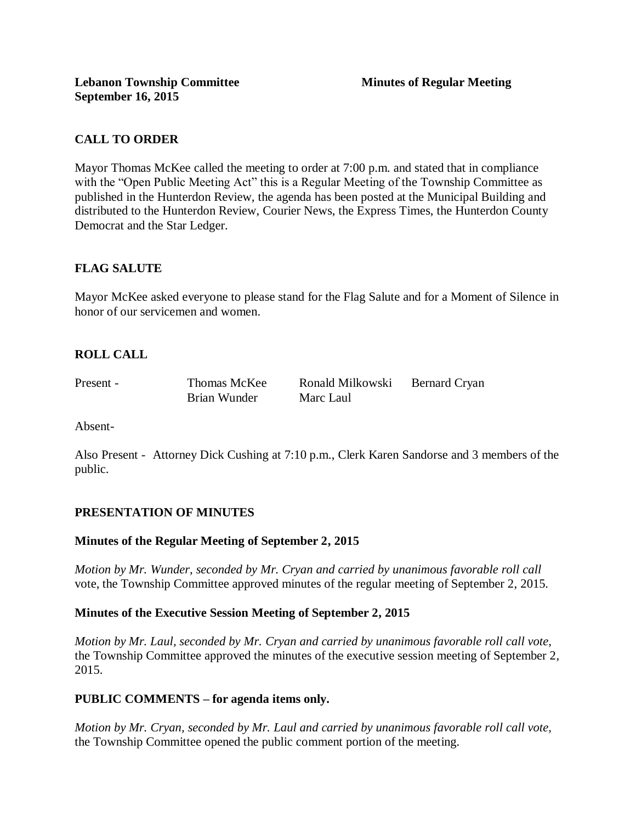# **CALL TO ORDER**

Mayor Thomas McKee called the meeting to order at 7:00 p.m. and stated that in compliance with the "Open Public Meeting Act" this is a Regular Meeting of the Township Committee as published in the Hunterdon Review, the agenda has been posted at the Municipal Building and distributed to the Hunterdon Review, Courier News, the Express Times, the Hunterdon County Democrat and the Star Ledger.

# **FLAG SALUTE**

Mayor McKee asked everyone to please stand for the Flag Salute and for a Moment of Silence in honor of our servicemen and women.

# **ROLL CALL**

| Present - | Thomas McKee | Ronald Milkowski | Bernard Cryan |
|-----------|--------------|------------------|---------------|
|           | Brian Wunder | Marc Laul        |               |

Absent-

Also Present - Attorney Dick Cushing at 7:10 p.m., Clerk Karen Sandorse and 3 members of the public.

### **PRESENTATION OF MINUTES**

### **Minutes of the Regular Meeting of September 2, 2015**

*Motion by Mr. Wunder, seconded by Mr. Cryan and carried by unanimous favorable roll call*  vote, the Township Committee approved minutes of the regular meeting of September 2, 2015.

### **Minutes of the Executive Session Meeting of September 2, 2015**

*Motion by Mr. Laul, seconded by Mr. Cryan and carried by unanimous favorable roll call vote,*  the Township Committee approved the minutes of the executive session meeting of September 2, 2015.

### **PUBLIC COMMENTS – for agenda items only.**

*Motion by Mr. Cryan, seconded by Mr. Laul and carried by unanimous favorable roll call vote,*  the Township Committee opened the public comment portion of the meeting.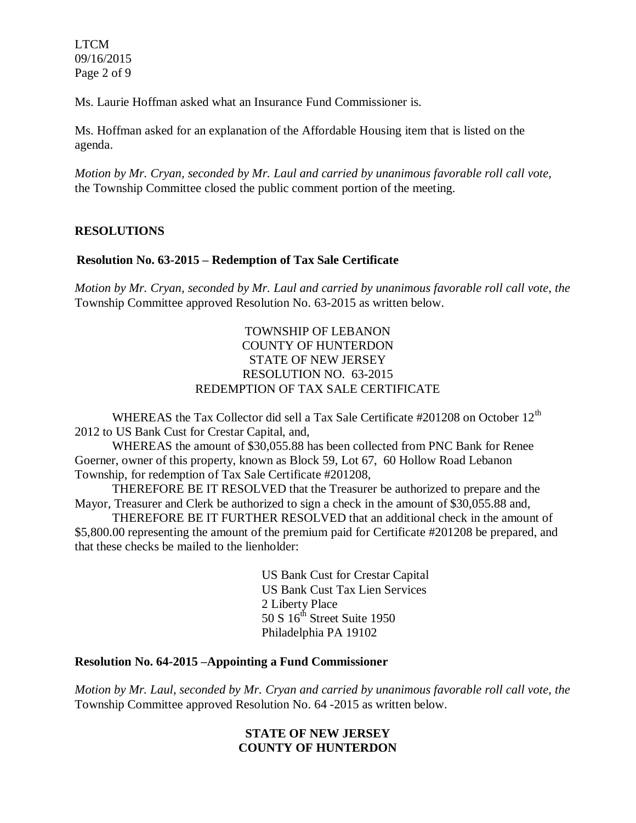LTCM 09/16/2015 Page 2 of 9

Ms. Laurie Hoffman asked what an Insurance Fund Commissioner is.

Ms. Hoffman asked for an explanation of the Affordable Housing item that is listed on the agenda.

*Motion by Mr. Cryan, seconded by Mr. Laul and carried by unanimous favorable roll call vote,* the Township Committee closed the public comment portion of the meeting.

## **RESOLUTIONS**

## **Resolution No. 63-2015 – Redemption of Tax Sale Certificate**

*Motion by Mr. Cryan, seconded by Mr. Laul and carried by unanimous favorable roll call vote*, *the* Township Committee approved Resolution No. 63-2015 as written below.

## TOWNSHIP OF LEBANON COUNTY OF HUNTERDON STATE OF NEW JERSEY RESOLUTION NO. 63-2015 REDEMPTION OF TAX SALE CERTIFICATE

WHEREAS the Tax Collector did sell a Tax Sale Certificate  $\#201208$  on October 12<sup>th</sup> 2012 to US Bank Cust for Crestar Capital, and,

WHEREAS the amount of \$30,055.88 has been collected from PNC Bank for Renee Goerner, owner of this property, known as Block 59, Lot 67, 60 Hollow Road Lebanon Township, for redemption of Tax Sale Certificate #201208,

THEREFORE BE IT RESOLVED that the Treasurer be authorized to prepare and the Mayor, Treasurer and Clerk be authorized to sign a check in the amount of \$30,055.88 and,

THEREFORE BE IT FURTHER RESOLVED that an additional check in the amount of \$5,800.00 representing the amount of the premium paid for Certificate #201208 be prepared, and that these checks be mailed to the lienholder:

> US Bank Cust for Crestar Capital US Bank Cust Tax Lien Services 2 Liberty Place 50 S 16<sup>th</sup> Street Suite 1950 Philadelphia PA 19102

### **Resolution No. 64-2015 –Appointing a Fund Commissioner**

*Motion by Mr. Laul, seconded by Mr. Cryan and carried by unanimous favorable roll call vote*, *the* Township Committee approved Resolution No. 64 -2015 as written below.

## **STATE OF NEW JERSEY COUNTY OF HUNTERDON**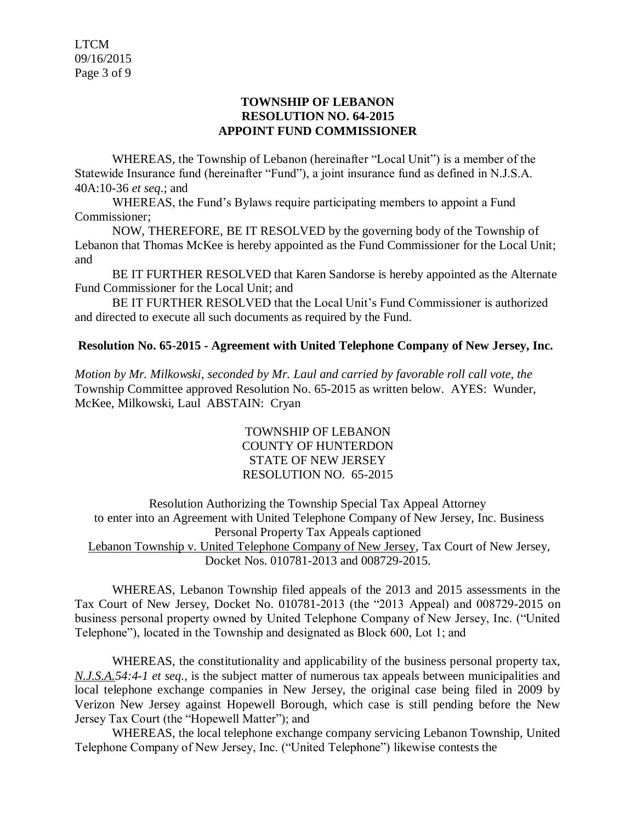LTCM 09/16/2015 Page 3 of 9

### **TOWNSHIP OF LEBANON RESOLUTION NO. 64-2015 APPOINT FUND COMMISSIONER**

WHEREAS, the Township of Lebanon (hereinafter "Local Unit") is a member of the Statewide Insurance fund (hereinafter "Fund"), a joint insurance fund as defined in N.J.S.A. 40A:10-36 *et seq*.; and

WHEREAS, the Fund's Bylaws require participating members to appoint a Fund Commissioner;

NOW, THEREFORE, BE IT RESOLVED by the governing body of the Township of Lebanon that Thomas McKee is hereby appointed as the Fund Commissioner for the Local Unit; and

BE IT FURTHER RESOLVED that Karen Sandorse is hereby appointed as the Alternate Fund Commissioner for the Local Unit; and

BE IT FURTHER RESOLVED that the Local Unit's Fund Commissioner is authorized and directed to execute all such documents as required by the Fund.

## **Resolution No. 65-2015 - Agreement with United Telephone Company of New Jersey, Inc.**

*Motion by Mr. Milkowski, seconded by Mr. Laul and carried by favorable roll call vote*, *the* Township Committee approved Resolution No. 65-2015 as written below. AYES: Wunder, McKee, Milkowski, Laul ABSTAIN: Cryan

> TOWNSHIP OF LEBANON COUNTY OF HUNTERDON STATE OF NEW JERSEY RESOLUTION NO. 65-2015

Resolution Authorizing the Township Special Tax Appeal Attorney to enter into an Agreement with United Telephone Company of New Jersey, Inc. Business Personal Property Tax Appeals captioned Lebanon Township v. United Telephone Company of New Jersey, Tax Court of New Jersey, Docket Nos. 010781-2013 and 008729-2015.

WHEREAS, Lebanon Township filed appeals of the 2013 and 2015 assessments in the Tax Court of New Jersey, Docket No. 010781-2013 (the "2013 Appeal) and 008729-2015 on business personal property owned by United Telephone Company of New Jersey, Inc. ("United Telephone"), located in the Township and designated as Block 600, Lot 1; and

WHEREAS, the constitutionality and applicability of the business personal property tax, *N.J.S.A.54:4-1 et seq.*, is the subject matter of numerous tax appeals between municipalities and local telephone exchange companies in New Jersey, the original case being filed in 2009 by Verizon New Jersey against Hopewell Borough, which case is still pending before the New Jersey Tax Court (the "Hopewell Matter"); and

WHEREAS, the local telephone exchange company servicing Lebanon Township, United Telephone Company of New Jersey, Inc. ("United Telephone") likewise contests the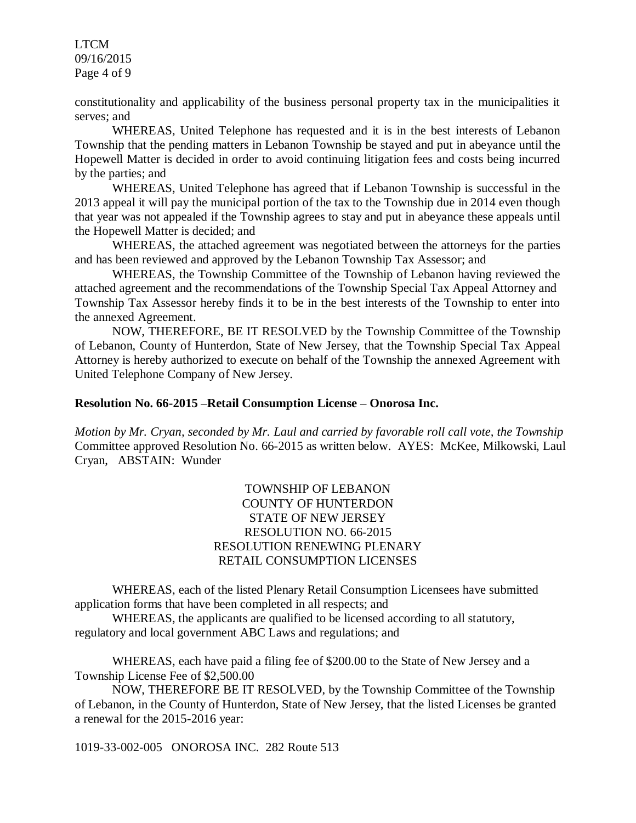LTCM 09/16/2015 Page 4 of 9

constitutionality and applicability of the business personal property tax in the municipalities it serves; and

WHEREAS, United Telephone has requested and it is in the best interests of Lebanon Township that the pending matters in Lebanon Township be stayed and put in abeyance until the Hopewell Matter is decided in order to avoid continuing litigation fees and costs being incurred by the parties; and

WHEREAS, United Telephone has agreed that if Lebanon Township is successful in the 2013 appeal it will pay the municipal portion of the tax to the Township due in 2014 even though that year was not appealed if the Township agrees to stay and put in abeyance these appeals until the Hopewell Matter is decided; and

WHEREAS, the attached agreement was negotiated between the attorneys for the parties and has been reviewed and approved by the Lebanon Township Tax Assessor; and

WHEREAS, the Township Committee of the Township of Lebanon having reviewed the attached agreement and the recommendations of the Township Special Tax Appeal Attorney and Township Tax Assessor hereby finds it to be in the best interests of the Township to enter into the annexed Agreement.

NOW, THEREFORE, BE IT RESOLVED by the Township Committee of the Township of Lebanon, County of Hunterdon, State of New Jersey, that the Township Special Tax Appeal Attorney is hereby authorized to execute on behalf of the Township the annexed Agreement with United Telephone Company of New Jersey.

#### **Resolution No. 66-2015 –Retail Consumption License – Onorosa Inc.**

*Motion by Mr. Cryan, seconded by Mr. Laul and carried by favorable roll call vote, the Township* Committee approved Resolution No. 66-2015 as written below. AYES: McKee, Milkowski, Laul Cryan, ABSTAIN: Wunder

## TOWNSHIP OF LEBANON COUNTY OF HUNTERDON STATE OF NEW JERSEY RESOLUTION NO. 66-2015 RESOLUTION RENEWING PLENARY RETAIL CONSUMPTION LICENSES

WHEREAS, each of the listed Plenary Retail Consumption Licensees have submitted application forms that have been completed in all respects; and

WHEREAS, the applicants are qualified to be licensed according to all statutory, regulatory and local government ABC Laws and regulations; and

WHEREAS, each have paid a filing fee of \$200.00 to the State of New Jersey and a Township License Fee of \$2,500.00

NOW, THEREFORE BE IT RESOLVED, by the Township Committee of the Township of Lebanon, in the County of Hunterdon, State of New Jersey, that the listed Licenses be granted a renewal for the 2015-2016 year:

1019-33-002-005 ONOROSA INC. 282 Route 513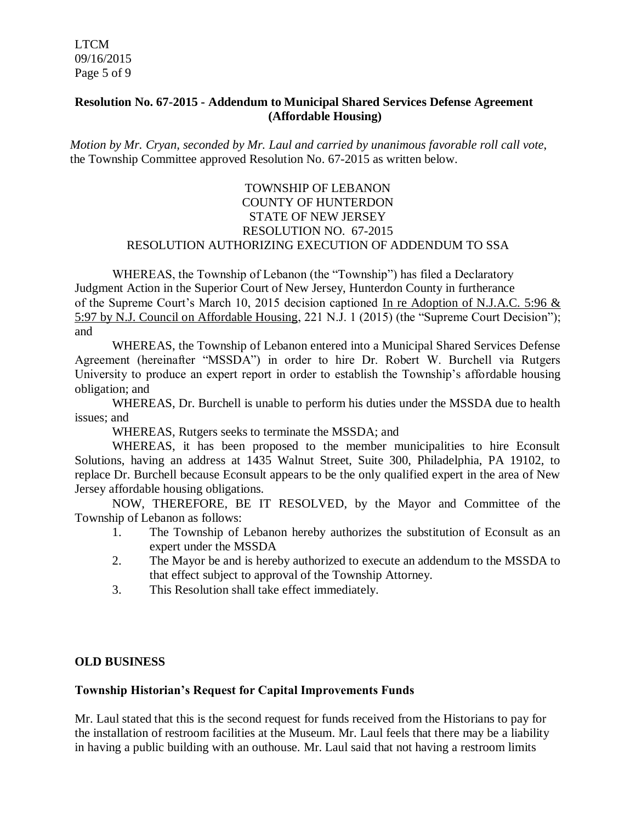LTCM 09/16/2015 Page 5 of 9

## **Resolution No. 67-2015 - Addendum to Municipal Shared Services Defense Agreement (Affordable Housing)**

*Motion by Mr. Cryan, seconded by Mr. Laul and carried by unanimous favorable roll call vote*, the Township Committee approved Resolution No. 67-2015 as written below.

## TOWNSHIP OF LEBANON COUNTY OF HUNTERDON STATE OF NEW JERSEY RESOLUTION NO. 67-2015 RESOLUTION AUTHORIZING EXECUTION OF ADDENDUM TO SSA

WHEREAS, the Township of Lebanon (the "Township") has filed a Declaratory Judgment Action in the Superior Court of New Jersey, Hunterdon County in furtherance of the Supreme Court's March 10, 2015 decision captioned In re Adoption of N.J.A.C. 5:96 & 5:97 by N.J. Council on Affordable Housing, 221 N.J. 1 (2015) (the "Supreme Court Decision"); and

WHEREAS, the Township of Lebanon entered into a Municipal Shared Services Defense Agreement (hereinafter "MSSDA") in order to hire Dr. Robert W. Burchell via Rutgers University to produce an expert report in order to establish the Township's affordable housing obligation; and

WHEREAS, Dr. Burchell is unable to perform his duties under the MSSDA due to health issues; and

WHEREAS, Rutgers seeks to terminate the MSSDA; and

WHEREAS, it has been proposed to the member municipalities to hire Econsult Solutions, having an address at 1435 Walnut Street, Suite 300, Philadelphia, PA 19102, to replace Dr. Burchell because Econsult appears to be the only qualified expert in the area of New Jersey affordable housing obligations.

NOW, THEREFORE, BE IT RESOLVED, by the Mayor and Committee of the Township of Lebanon as follows:

- 1. The Township of Lebanon hereby authorizes the substitution of Econsult as an expert under the MSSDA
- 2. The Mayor be and is hereby authorized to execute an addendum to the MSSDA to that effect subject to approval of the Township Attorney.
- 3. This Resolution shall take effect immediately.

## **OLD BUSINESS**

### **Township Historian's Request for Capital Improvements Funds**

Mr. Laul stated that this is the second request for funds received from the Historians to pay for the installation of restroom facilities at the Museum. Mr. Laul feels that there may be a liability in having a public building with an outhouse. Mr. Laul said that not having a restroom limits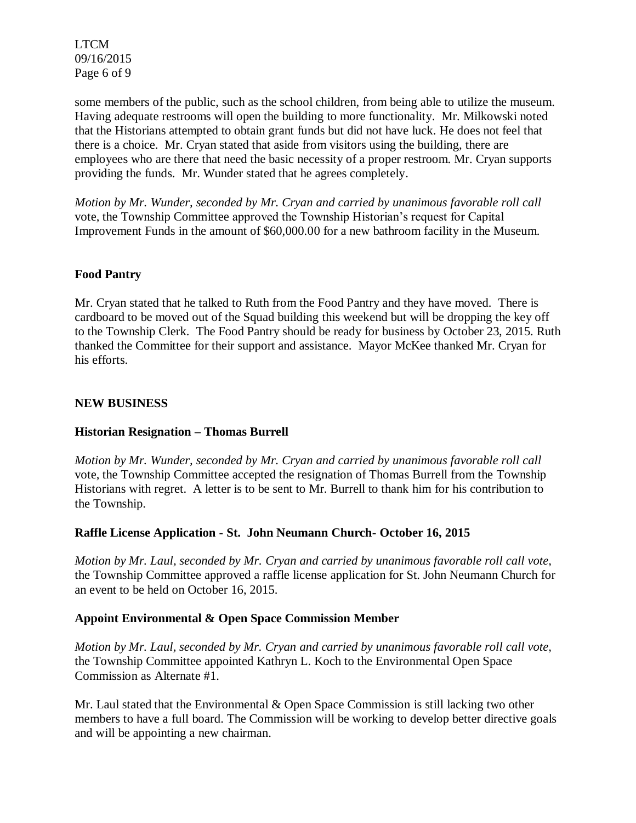LTCM 09/16/2015 Page 6 of 9

some members of the public, such as the school children, from being able to utilize the museum. Having adequate restrooms will open the building to more functionality. Mr. Milkowski noted that the Historians attempted to obtain grant funds but did not have luck. He does not feel that there is a choice. Mr. Cryan stated that aside from visitors using the building, there are employees who are there that need the basic necessity of a proper restroom. Mr. Cryan supports providing the funds. Mr. Wunder stated that he agrees completely.

*Motion by Mr. Wunder, seconded by Mr. Cryan and carried by unanimous favorable roll call*  vote, the Township Committee approved the Township Historian's request for Capital Improvement Funds in the amount of \$60,000.00 for a new bathroom facility in the Museum.

## **Food Pantry**

Mr. Cryan stated that he talked to Ruth from the Food Pantry and they have moved. There is cardboard to be moved out of the Squad building this weekend but will be dropping the key off to the Township Clerk. The Food Pantry should be ready for business by October 23, 2015. Ruth thanked the Committee for their support and assistance. Mayor McKee thanked Mr. Cryan for his efforts.

## **NEW BUSINESS**

## **Historian Resignation – Thomas Burrell**

*Motion by Mr. Wunder, seconded by Mr. Cryan and carried by unanimous favorable roll call*  vote, the Township Committee accepted the resignation of Thomas Burrell from the Township Historians with regret. A letter is to be sent to Mr. Burrell to thank him for his contribution to the Township.

### **Raffle License Application - St. John Neumann Church- October 16, 2015**

*Motion by Mr. Laul, seconded by Mr. Cryan and carried by unanimous favorable roll call vote,*  the Township Committee approved a raffle license application for St. John Neumann Church for an event to be held on October 16, 2015.

### **Appoint Environmental & Open Space Commission Member**

*Motion by Mr. Laul, seconded by Mr. Cryan and carried by unanimous favorable roll call vote,*  the Township Committee appointed Kathryn L. Koch to the Environmental Open Space Commission as Alternate #1.

Mr. Laul stated that the Environmental & Open Space Commission is still lacking two other members to have a full board. The Commission will be working to develop better directive goals and will be appointing a new chairman.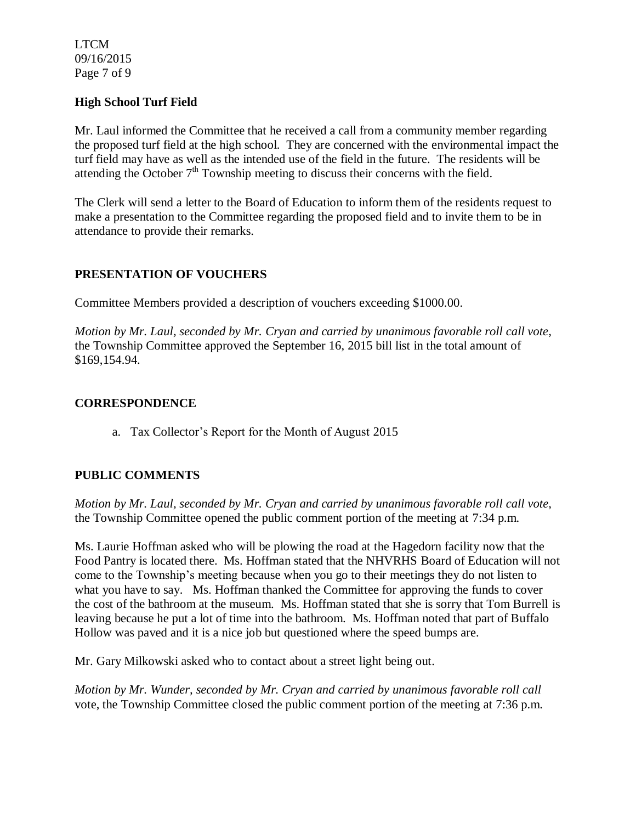LTCM 09/16/2015 Page 7 of 9

## **High School Turf Field**

Mr. Laul informed the Committee that he received a call from a community member regarding the proposed turf field at the high school. They are concerned with the environmental impact the turf field may have as well as the intended use of the field in the future. The residents will be attending the October  $7<sup>th</sup>$  Township meeting to discuss their concerns with the field.

The Clerk will send a letter to the Board of Education to inform them of the residents request to make a presentation to the Committee regarding the proposed field and to invite them to be in attendance to provide their remarks.

## **PRESENTATION OF VOUCHERS**

Committee Members provided a description of vouchers exceeding \$1000.00.

*Motion by Mr. Laul, seconded by Mr. Cryan and carried by unanimous favorable roll call vote,*  the Township Committee approved the September 16, 2015 bill list in the total amount of \$169,154.94.

## **CORRESPONDENCE**

a. Tax Collector's Report for the Month of August 2015

## **PUBLIC COMMENTS**

*Motion by Mr. Laul, seconded by Mr. Cryan and carried by unanimous favorable roll call vote,* the Township Committee opened the public comment portion of the meeting at 7:34 p.m.

Ms. Laurie Hoffman asked who will be plowing the road at the Hagedorn facility now that the Food Pantry is located there. Ms. Hoffman stated that the NHVRHS Board of Education will not come to the Township's meeting because when you go to their meetings they do not listen to what you have to say. Ms. Hoffman thanked the Committee for approving the funds to cover the cost of the bathroom at the museum. Ms. Hoffman stated that she is sorry that Tom Burrell is leaving because he put a lot of time into the bathroom. Ms. Hoffman noted that part of Buffalo Hollow was paved and it is a nice job but questioned where the speed bumps are.

Mr. Gary Milkowski asked who to contact about a street light being out.

*Motion by Mr. Wunder, seconded by Mr. Cryan and carried by unanimous favorable roll call*  vote, the Township Committee closed the public comment portion of the meeting at 7:36 p.m.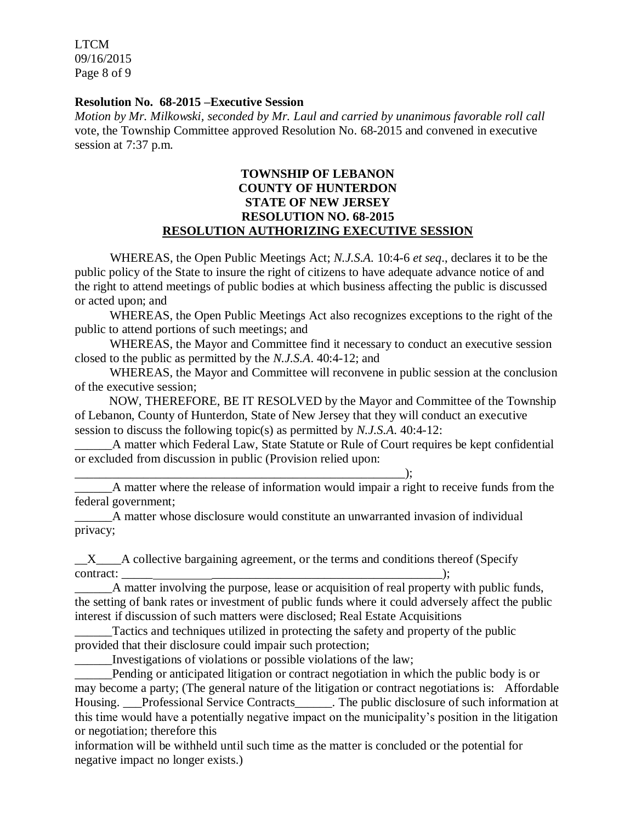LTCM 09/16/2015 Page 8 of 9

#### **Resolution No. 68-2015 –Executive Session**

*Motion by Mr. Milkowski, seconded by Mr. Laul and carried by unanimous favorable roll call*  vote, the Township Committee approved Resolution No. 68-2015 and convened in executive session at 7:37 p.m.

## **TOWNSHIP OF LEBANON COUNTY OF HUNTERDON STATE OF NEW JERSEY RESOLUTION NO. 68-2015 RESOLUTION AUTHORIZING EXECUTIVE SESSION**

WHEREAS, the Open Public Meetings Act; *N.J.S.A.* 10:4-6 *et seq*., declares it to be the public policy of the State to insure the right of citizens to have adequate advance notice of and the right to attend meetings of public bodies at which business affecting the public is discussed or acted upon; and

WHEREAS, the Open Public Meetings Act also recognizes exceptions to the right of the public to attend portions of such meetings; and

WHEREAS, the Mayor and Committee find it necessary to conduct an executive session closed to the public as permitted by the *N.J.S.A*. 40:4-12; and

WHEREAS, the Mayor and Committee will reconvene in public session at the conclusion of the executive session;

 NOW, THEREFORE, BE IT RESOLVED by the Mayor and Committee of the Township of Lebanon, County of Hunterdon, State of New Jersey that they will conduct an executive session to discuss the following topic(s) as permitted by *N.J.S.A*. 40:4-12:

A matter which Federal Law, State Statute or Rule of Court requires be kept confidential or excluded from discussion in public (Provision relied upon:

\_\_\_\_\_\_A matter where the release of information would impair a right to receive funds from the federal government;

\_\_\_\_\_\_A matter whose disclosure would constitute an unwarranted invasion of individual privacy;

\_\_X\_\_\_\_A collective bargaining agreement, or the terms and conditions thereof (Specify contract:  $\qquad \qquad$  .

A matter involving the purpose, lease or acquisition of real property with public funds, the setting of bank rates or investment of public funds where it could adversely affect the public interest if discussion of such matters were disclosed; Real Estate Acquisitions

Tactics and techniques utilized in protecting the safety and property of the public provided that their disclosure could impair such protection;

\_\_\_\_\_\_Investigations of violations or possible violations of the law;

\_\_\_\_\_\_\_\_\_\_\_\_\_\_\_\_\_\_\_\_\_\_\_\_\_\_\_\_\_\_\_\_\_\_\_\_\_\_\_\_\_\_\_\_\_\_\_\_\_\_\_\_\_);

\_\_\_\_\_\_Pending or anticipated litigation or contract negotiation in which the public body is or may become a party; (The general nature of the litigation or contract negotiations is: Affordable Housing. \_\_\_Professional Service Contracts\_\_\_\_\_\_. The public disclosure of such information at this time would have a potentially negative impact on the municipality's position in the litigation or negotiation; therefore this

information will be withheld until such time as the matter is concluded or the potential for negative impact no longer exists.)